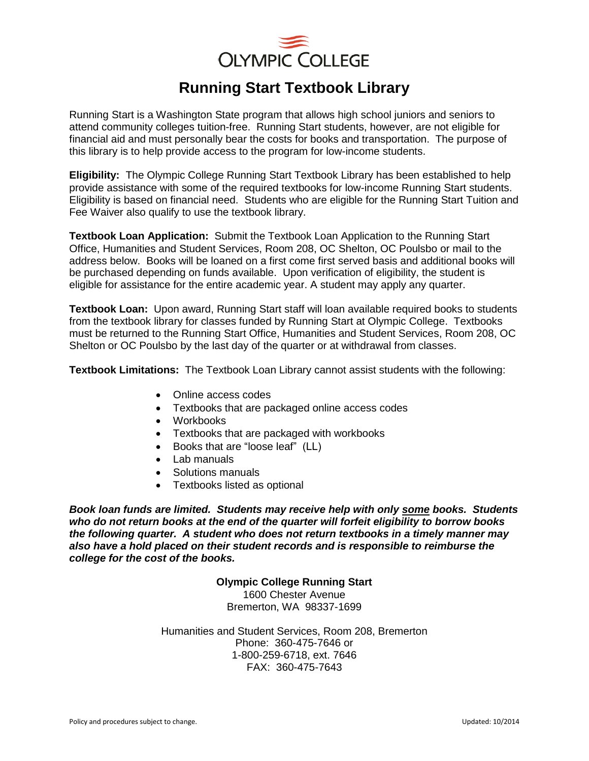

## **Running Start Textbook Library**

Running Start is a Washington State program that allows high school juniors and seniors to attend community colleges tuition-free. Running Start students, however, are not eligible for financial aid and must personally bear the costs for books and transportation. The purpose of this library is to help provide access to the program for low-income students.

**Eligibility:** The Olympic College Running Start Textbook Library has been established to help provide assistance with some of the required textbooks for low-income Running Start students. Eligibility is based on financial need. Students who are eligible for the Running Start Tuition and Fee Waiver also qualify to use the textbook library.

**Textbook Loan Application:** Submit the Textbook Loan Application to the Running Start Office, Humanities and Student Services, Room 208, OC Shelton, OC Poulsbo or mail to the address below. Books will be loaned on a first come first served basis and additional books will be purchased depending on funds available. Upon verification of eligibility, the student is eligible for assistance for the entire academic year. A student may apply any quarter.

**Textbook Loan:** Upon award, Running Start staff will loan available required books to students from the textbook library for classes funded by Running Start at Olympic College. Textbooks must be returned to the Running Start Office, Humanities and Student Services, Room 208, OC Shelton or OC Poulsbo by the last day of the quarter or at withdrawal from classes.

**Textbook Limitations:** The Textbook Loan Library cannot assist students with the following:

- Online access codes
- Textbooks that are packaged online access codes
- Workbooks
- Textbooks that are packaged with workbooks
- Books that are "loose leaf" (LL)
- Lab manuals
- Solutions manuals
- Textbooks listed as optional

*Book loan funds are limited. Students may receive help with only some books. Students who do not return books at the end of the quarter will forfeit eligibility to borrow books the following quarter. A student who does not return textbooks in a timely manner may also have a hold placed on their student records and is responsible to reimburse the college for the cost of the books.* 

> **Olympic College Running Start** 1600 Chester Avenue

Bremerton, WA 98337-1699

Humanities and Student Services, Room 208, Bremerton Phone: 360-475-7646 or 1-800-259-6718, ext. 7646 FAX: 360-475-7643